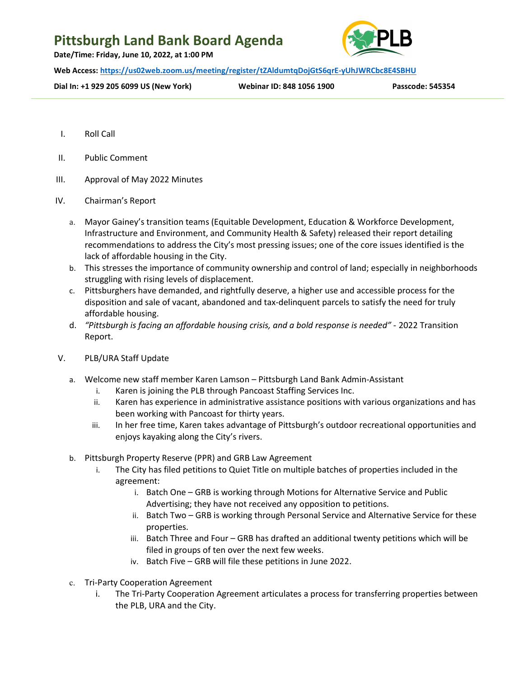## Pittsburgh Land Bank Board Agenda

Date/Time: Friday, June 10, 2022, at 1:00 PM



Web Access: https://us02web.zoom.us/meeting/register/tZAldumtqDojGtS6qrE-yUhJWRCbc8E4SBHU

Dial In: +1 929 205 6099 US (New York) Webinar ID: 848 1056 1900 Passcode: 545354

- I. Roll Call
- II. Public Comment
- III. Approval of May 2022 Minutes
- IV. Chairman's Report
	- a. Mayor Gainey's transition teams (Equitable Development, Education & Workforce Development, Infrastructure and Environment, and Community Health & Safety) released their report detailing recommendations to address the City's most pressing issues; one of the core issues identified is the lack of affordable housing in the City.
	- b. This stresses the importance of community ownership and control of land; especially in neighborhoods struggling with rising levels of displacement.
	- c. Pittsburghers have demanded, and rightfully deserve, a higher use and accessible process for the disposition and sale of vacant, abandoned and tax-delinquent parcels to satisfy the need for truly affordable housing.
	- d. "Pittsburgh is facing an affordable housing crisis, and a bold response is needed" 2022 Transition Report.
- V. PLB/URA Staff Update
	- a. Welcome new staff member Karen Lamson Pittsburgh Land Bank Admin-Assistant
		- i. Karen is joining the PLB through Pancoast Staffing Services Inc.
		- ii. Karen has experience in administrative assistance positions with various organizations and has been working with Pancoast for thirty years.
		- iii. In her free time, Karen takes advantage of Pittsburgh's outdoor recreational opportunities and enjoys kayaking along the City's rivers.
	- b. Pittsburgh Property Reserve (PPR) and GRB Law Agreement
		- i. The City has filed petitions to Quiet Title on multiple batches of properties included in the agreement:
			- i. Batch One GRB is working through Motions for Alternative Service and Public Advertising; they have not received any opposition to petitions.
			- ii. Batch Two GRB is working through Personal Service and Alternative Service for these properties.
			- iii. Batch Three and Four GRB has drafted an additional twenty petitions which will be filed in groups of ten over the next few weeks.
			- iv. Batch Five GRB will file these petitions in June 2022.
	- c. Tri-Party Cooperation Agreement
		- i. The Tri-Party Cooperation Agreement articulates a process for transferring properties between the PLB, URA and the City.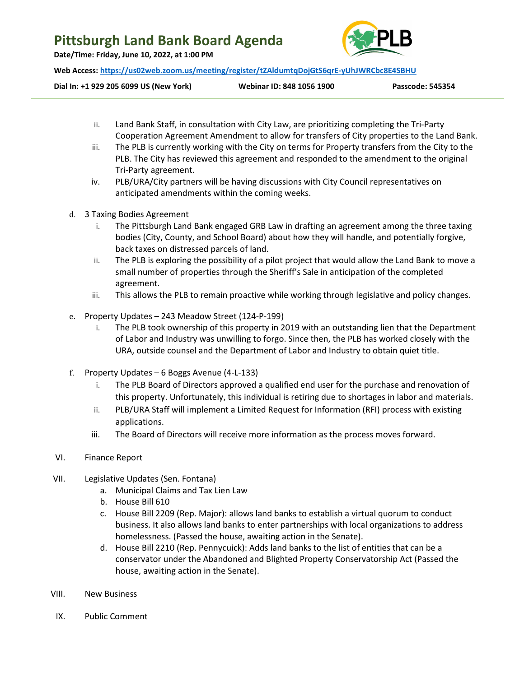### Pittsburgh Land Bank Board Agenda

Date/Time: Friday, June 10, 2022, at 1:00 PM



Web Access: https://us02web.zoom.us/meeting/register/tZAldumtqDojGtS6qrE-yUhJWRCbc8E4SBHU

Dial In: +1 929 205 6099 US (New York) Webinar ID: 848 1056 1900 Passcode: 545354

- ii. Land Bank Staff, in consultation with City Law, are prioritizing completing the Tri-Party Cooperation Agreement Amendment to allow for transfers of City properties to the Land Bank.
- iii. The PLB is currently working with the City on terms for Property transfers from the City to the PLB. The City has reviewed this agreement and responded to the amendment to the original Tri-Party agreement.
- iv. PLB/URA/City partners will be having discussions with City Council representatives on anticipated amendments within the coming weeks.
- d. 3 Taxing Bodies Agreement
	- i. The Pittsburgh Land Bank engaged GRB Law in drafting an agreement among the three taxing bodies (City, County, and School Board) about how they will handle, and potentially forgive, back taxes on distressed parcels of land.
	- ii. The PLB is exploring the possibility of a pilot project that would allow the Land Bank to move a small number of properties through the Sheriff's Sale in anticipation of the completed agreement.
	- iii. This allows the PLB to remain proactive while working through legislative and policy changes.
- e. Property Updates 243 Meadow Street (124-P-199)
	- i. The PLB took ownership of this property in 2019 with an outstanding lien that the Department of Labor and Industry was unwilling to forgo. Since then, the PLB has worked closely with the URA, outside counsel and the Department of Labor and Industry to obtain quiet title.
- f. Property Updates 6 Boggs Avenue (4-L-133)
	- i. The PLB Board of Directors approved a qualified end user for the purchase and renovation of this property. Unfortunately, this individual is retiring due to shortages in labor and materials.
	- ii. PLB/URA Staff will implement a Limited Request for Information (RFI) process with existing applications.
	- iii. The Board of Directors will receive more information as the process moves forward.
- VI. Finance Report
- VII. Legislative Updates (Sen. Fontana)
	- a. Municipal Claims and Tax Lien Law
	- b. House Bill 610
	- c. House Bill 2209 (Rep. Major): allows land banks to establish a virtual quorum to conduct business. It also allows land banks to enter partnerships with local organizations to address homelessness. (Passed the house, awaiting action in the Senate).
	- d. House Bill 2210 (Rep. Pennycuick): Adds land banks to the list of entities that can be a conservator under the Abandoned and Blighted Property Conservatorship Act (Passed the house, awaiting action in the Senate).
- VIII. New Business
- IX. Public Comment